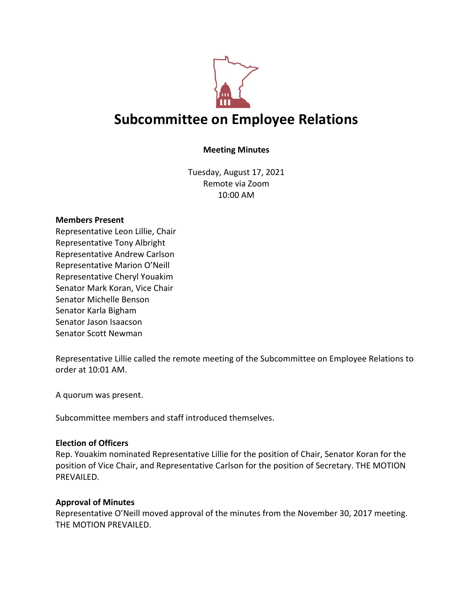

# **Subcommittee on Employee Relations**

## **Meeting Minutes**

Tuesday, August 17, 2021 Remote via Zoom 10:00 AM

#### **Members Present**

Representative Leon Lillie, Chair Representative Tony Albright Representative Andrew Carlson Representative Marion O'Neill Representative Cheryl Youakim Senator Mark Koran, Vice Chair Senator Michelle Benson Senator Karla Bigham Senator Jason Isaacson Senator Scott Newman

Representative Lillie called the remote meeting of the Subcommittee on Employee Relations to order at 10:01 AM.

A quorum was present.

Subcommittee members and staff introduced themselves.

#### **Election of Officers**

Rep. Youakim nominated Representative Lillie for the position of Chair, Senator Koran for the position of Vice Chair, and Representative Carlson for the position of Secretary. THE MOTION PREVAILED.

#### **Approval of Minutes**

Representative O'Neill moved approval of the minutes from the November 30, 2017 meeting. THE MOTION PREVAILED.